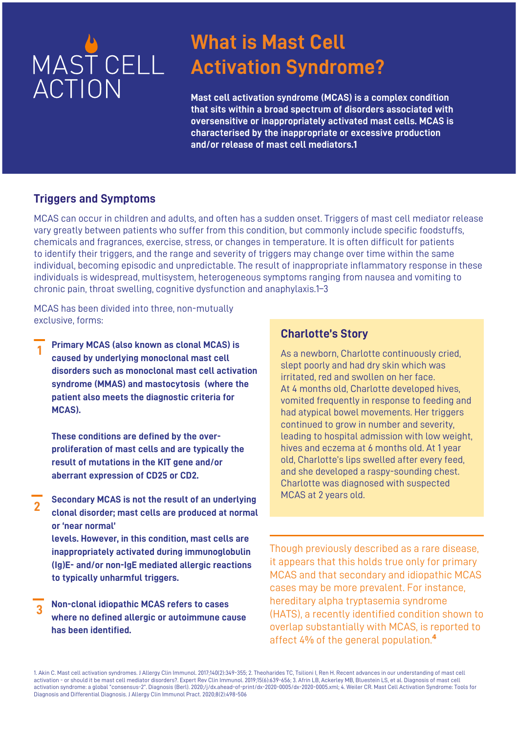

### **What is Mast Cell Activation Syndrome?**

**Mast cell activation syndrome (MCAS) is a complex condition that sits within a broad spectrum of disorders associated with oversensitive or inappropriately activated mast cells. MCAS is characterised by the inappropriate or excessive production and/or release of mast cell mediators.1**

#### **Triggers and Symptoms**

MCAS can occur in children and adults, and often has a sudden onset. Triggers of mast cell mediator release vary greatly between patients who suffer from this condition, but commonly include specific foodstuffs, chemicals and fragrances, exercise, stress, or changes in temperature. It is often difficult for patients to identify their triggers, and the range and severity of triggers may change over time within the same individual, becoming episodic and unpredictable. The result of inappropriate inflammatory response in these individuals is widespread, multisystem, heterogeneous symptoms ranging from nausea and vomiting to chronic pain, throat swelling, cognitive dysfunction and anaphylaxis.1–3

MCAS has been divided into three, non-mutually exclusive, forms:

**1 Primary MCAS (also known as clonal MCAS) is caused by underlying monoclonal mast cell disorders such as monoclonal mast cell activation syndrome (MMAS) and mastocytosis (where the patient also meets the diagnostic criteria for MCAS).**

**These conditions are defined by the overproliferation of mast cells and are typically the result of mutations in the KIT gene and/or aberrant expression of CD25 or CD2.**

**Secondary MCAS is not the result of an underlying clonal disorder; mast cells are produced at normal or 'near normal' 2**

**levels. However, in this condition, mast cells are inappropriately activated during immunoglobulin (Ig)E- and/or non-IgE mediated allergic reactions to typically unharmful triggers.**

**Non-clonal idiopathic MCAS refers to cases where no defined allergic or autoimmune cause has been identified. 3**

#### **Charlotte's Story**

As a newborn, Charlotte continuously cried, slept poorly and had dry skin which was irritated, red and swollen on her face. At 4 months old, Charlotte developed hives. vomited frequently in response to feeding and had atypical bowel movements. Her triggers continued to grow in number and severity, leading to hospital admission with low weight, hives and eczema at 6 months old. At 1 year old, Charlotte's lips swelled after every feed, and she developed a raspy-sounding chest. Charlotte was diagnosed with suspected MCAS at 2 years old.

Though previously described as a rare disease, it appears that this holds true only for primary MCAS and that secondary and idiopathic MCAS cases may be more prevalent. For instance, hereditary alpha tryptasemia syndrome (HATS), a recently identified condition shown to overlap substantially with MCAS, is reported to affect 4% of the general population.**⁴**

1. Akin C. Mast cell activation syndromes. J Allergy Clin Immunol. 2017;140(2):349-355; 2. Theoharides TC, Tsilioni I, Ren H. Recent advances in our understanding of mast cell activation - or should it be mast cell mediator disorders?. Expert Rev Clin Immunol. 2019;15(6):639-656; 3. Afrin LB, Ackerley MB, Bluestein LS, et al. Diagnosis of mast cell activation syndrome: a global "consensus-2". Diagnosis (Berl). 2020;/j/dx.ahead-of-print/dx-2020-0005/dx-2020-0005.xml; 4. Weiler CR. Mast Cell Activation Syndrome: Tools for Diagnosis and Differential Diagnosis. J Allergy Clin Immunol Pract. 2020;8(2):498-506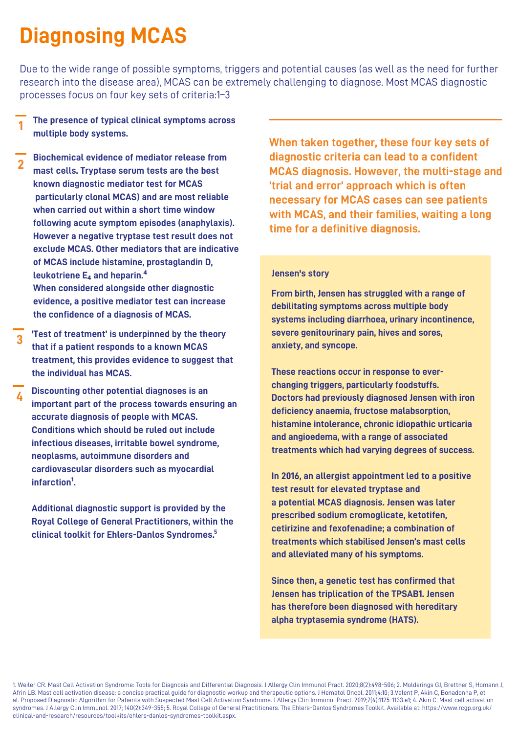# **Diagnosing MCAS**

Due to the wide range of possible symptoms, triggers and potential causes (as well as the need for further research into the disease area), MCAS can be extremely challenging to diagnose. Most MCAS diagnostic processes focus on four key sets of criteria:1–3

- **1 The presence of typical clinical symptoms across multiple body systems.**
- **Biochemical evidence of mediator release from mast cells. Tryptase serum tests are the best known diagnostic mediator test for MCAS particularly clonal MCAS) and are most reliable when carried out within a short time window following acute symptom episodes (anaphylaxis). However a negative tryptase test result does not exclude MCAS. Other mediators that are indicative of MCAS include histamine, prostaglandin D, leukotriene E₄ and heparin.⁴ When considered alongside other diagnostic evidence, a positive mediator test can increase the confidence of a diagnosis of MCAS. 2**
- **'Test of treatment' is underpinned by the theory that if a patient responds to a known MCAS treatment, this provides evidence to suggest that the individual has MCAS. 3**
- **Discounting other potential diagnoses is an important part of the process towards ensuring an accurate diagnosis of people with MCAS. Conditions which should be ruled out include infectious diseases, irritable bowel syndrome, neoplasms, autoimmune disorders and cardiovascular disorders such as myocardial** infarction<sup>1</sup>. **4**

**Additional diagnostic support is provided by the Royal College of General Practitioners, within the clinical toolkit for Ehlers-Danlos Syndromes. 5**

**When taken together, these four key sets of diagnostic criteria can lead to a confident MCAS diagnosis. However, the multi-stage and 'trial and error' approach which is often necessary for MCAS cases can see patients with MCAS, and their families, waiting a long time for a definitive diagnosis.**

#### **Jensen's story**

**From birth, Jensen has struggled with a range of debilitating symptoms across multiple body systems including diarrhoea, urinary incontinence, severe genitourinary pain, hives and sores, anxiety, and syncope.**

**These reactions occur in response to everchanging triggers, particularly foodstuffs. Doctors had previously diagnosed Jensen with iron deficiency anaemia, fructose malabsorption, histamine intolerance, chronic idiopathic urticaria and angioedema, with a range of associated treatments which had varying degrees of success.**

**In 2016, an allergist appointment led to a positive test result for elevated tryptase and a potential MCAS diagnosis. Jensen was later prescribed sodium cromoglicate, ketotifen, cetirizine and fexofenadine; a combination of treatments which stabilised Jensen's mast cells and alleviated many of his symptoms.**

**Since then, a genetic test has confirmed that Jensen has triplication of the TPSAB1. Jensen has therefore been diagnosed with hereditary alpha tryptasemia syndrome (HATS).**

1. Weiler CR. Mast Cell Activation Syndrome: Tools for Diagnosis and Differential Diagnosis. J Allergy Clin Immunol Pract. 2020;8(2):498-506; 2. Molderings GJ, Brettner S, Homann J, Afrin LB. Mast cell activation disease: a concise practical guide for diagnostic workup and therapeutic options. J Hematol Oncol. 2011;4:10; 3.Valent P, Akin C, Bonadonna P, et al. Proposed Diagnostic Algorithm for Patients with Suspected Mast Cell Activation Syndrome. J Allergy Clin Immunol Pract. 2019;7(4):1125-1133.e1; 4. Akin C. Mast cell activation syndromes. J Allergy Clin Immunol. 2017; 140(2):349-355; 5. Royal College of General Practitioners. The Ehlers-Danlos Syndromes Toolkit. Available at: https://www.rcgp.org.uk/ clinical-and-research/resources/toolkits/ehlers-danlos-syndromes-toolkit.aspx.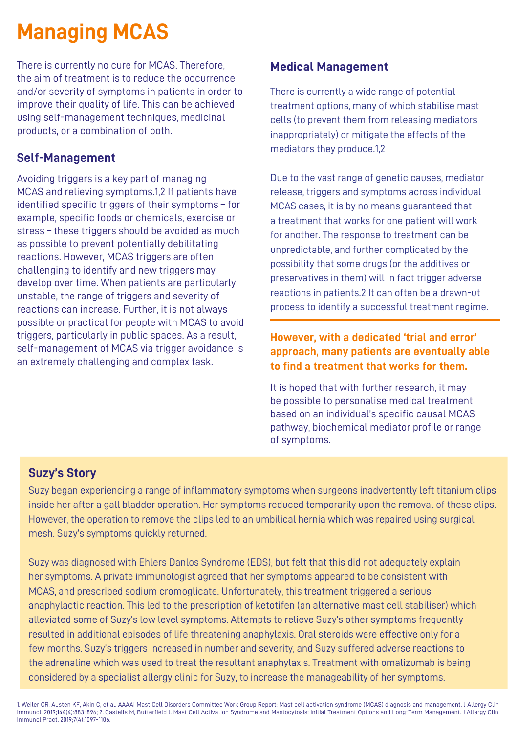# **Managing MCAS**

There is currently no cure for MCAS. Therefore, the aim of treatment is to reduce the occurrence and/or severity of symptoms in patients in order to improve their quality of life. This can be achieved using self-management techniques, medicinal products, or a combination of both.

#### **Self-Management**

Avoiding triggers is a key part of managing MCAS and relieving symptoms.1,2 If patients have identified specific triggers of their symptoms – for example, specific foods or chemicals, exercise or stress – these triggers should be avoided as much as possible to prevent potentially debilitating reactions. However, MCAS triggers are often challenging to identify and new triggers may develop over time. When patients are particularly unstable, the range of triggers and severity of reactions can increase. Further, it is not always possible or practical for people with MCAS to avoid triggers, particularly in public spaces. As a result, self-management of MCAS via trigger avoidance is an extremely challenging and complex task.

#### **Medical Management**

There is currently a wide range of potential treatment options, many of which stabilise mast cells (to prevent them from releasing mediators inappropriately) or mitigate the effects of the mediators they produce.1,2

Due to the vast range of genetic causes, mediator release, triggers and symptoms across individual MCAS cases, it is by no means guaranteed that a treatment that works for one patient will work for another. The response to treatment can be unpredictable, and further complicated by the possibility that some drugs (or the additives or preservatives in them) will in fact trigger adverse reactions in patients.2 It can often be a drawn-ut process to identify a successful treatment regime.

#### **However, with a dedicated 'trial and error' approach, many patients are eventually able to find a treatment that works for them.**

It is hoped that with further research, it may be possible to personalise medical treatment based on an individual's specific causal MCAS pathway, biochemical mediator profile or range of symptoms.

### **Suzy's Story**

Suzy began experiencing a range of inflammatory symptoms when surgeons inadvertently left titanium clips inside her after a gall bladder operation. Her symptoms reduced temporarily upon the removal of these clips. However, the operation to remove the clips led to an umbilical hernia which was repaired using surgical mesh. Suzy's symptoms quickly returned.

Suzy was diagnosed with Ehlers Danlos Syndrome (EDS), but felt that this did not adequately explain her symptoms. A private immunologist agreed that her symptoms appeared to be consistent with MCAS, and prescribed sodium cromoglicate. Unfortunately, this treatment triggered a serious anaphylactic reaction. This led to the prescription of ketotifen (an alternative mast cell stabiliser) which alleviated some of Suzy's low level symptoms. Attempts to relieve Suzy's other symptoms frequently resulted in additional episodes of life threatening anaphylaxis. Oral steroids were effective only for a few months. Suzy's triggers increased in number and severity, and Suzy suffered adverse reactions to the adrenaline which was used to treat the resultant anaphylaxis. Treatment with omalizumab is being considered by a specialist allergy clinic for Suzy, to increase the manageability of her symptoms.

1. Weiler CR, Austen KF, Akin C, et al. AAAAI Mast Cell Disorders Committee Work Group Report: Mast cell activation syndrome (MCAS) diagnosis and management. J Allergy Clin Immunol. 2019;144(4):883-896; 2. Castells M, Butterfield J. Mast Cell Activation Syndrome and Mastocytosis: Initial Treatment Options and Long-Term Management. J Allergy Clin Immunol Pract. 2019;7(4):1097-1106.